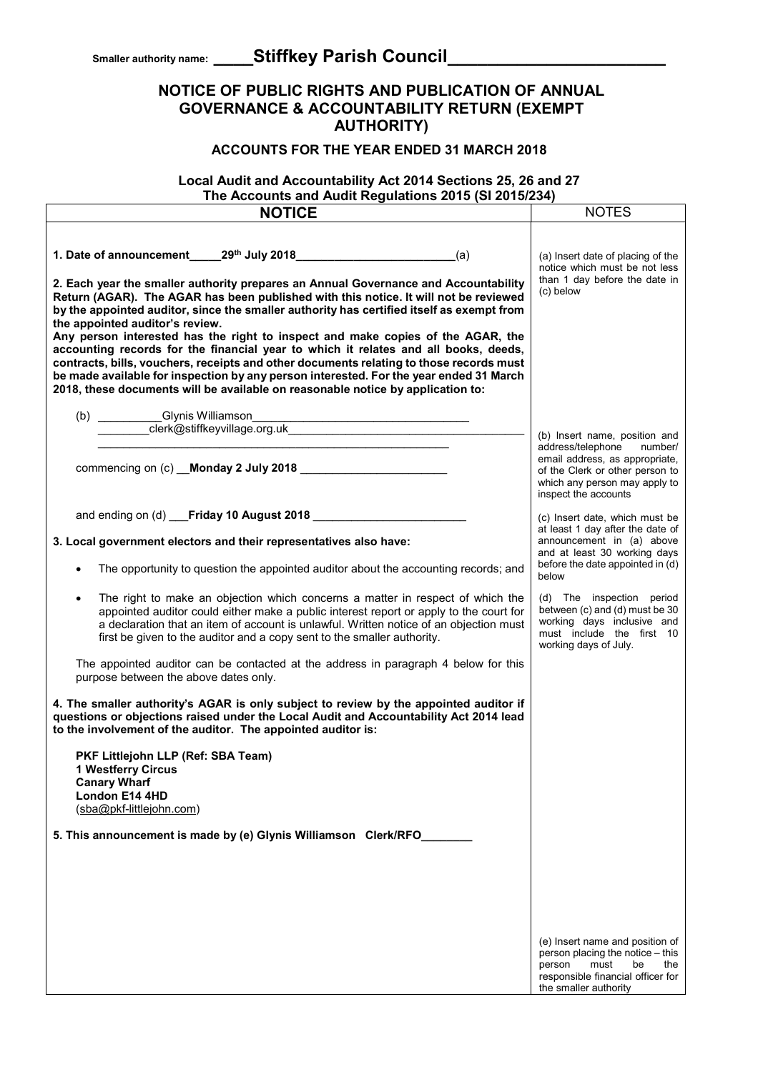## **NOTICE OF PUBLIC RIGHTS AND PUBLICATION OF ANNUAL GOVERNANCE & ACCOUNTABILITY RETURN (EXEMPT AUTHORITY)**

## **ACCOUNTS FOR THE YEAR ENDED 31 MARCH 2018**

#### **Local Audit and Accountability Act 2014 Sections 25, 26 and 27 The Accounts and Audit Regulations 2015 (SI 2015/234)**

| THE ACCOUNTS and Addit Regulations 2019 (OF 2019/204)                                       |                                                                     |
|---------------------------------------------------------------------------------------------|---------------------------------------------------------------------|
| <b>NOTICE</b>                                                                               | <b>NOTES</b>                                                        |
|                                                                                             |                                                                     |
|                                                                                             |                                                                     |
|                                                                                             | (a) Insert date of placing of the                                   |
|                                                                                             | notice which must be not less                                       |
| 2. Each year the smaller authority prepares an Annual Governance and Accountability         | than 1 day before the date in                                       |
| Return (AGAR). The AGAR has been published with this notice. It will not be reviewed        | (c) below                                                           |
| by the appointed auditor, since the smaller authority has certified itself as exempt from   |                                                                     |
| the appointed auditor's review.                                                             |                                                                     |
| Any person interested has the right to inspect and make copies of the AGAR, the             |                                                                     |
| accounting records for the financial year to which it relates and all books, deeds,         |                                                                     |
| contracts, bills, vouchers, receipts and other documents relating to those records must     |                                                                     |
| be made available for inspection by any person interested. For the year ended 31 March      |                                                                     |
| 2018, these documents will be available on reasonable notice by application to:             |                                                                     |
|                                                                                             |                                                                     |
|                                                                                             |                                                                     |
|                                                                                             |                                                                     |
|                                                                                             | (b) Insert name, position and                                       |
|                                                                                             | address/telephone<br>number/                                        |
| commencing on (c) Monday 2 July 2018                                                        | email address, as appropriate,<br>of the Clerk or other person to   |
|                                                                                             | which any person may apply to                                       |
|                                                                                             | inspect the accounts                                                |
|                                                                                             |                                                                     |
| and ending on (d) Friday 10 August 2018                                                     | (c) Insert date, which must be                                      |
|                                                                                             | at least 1 day after the date of                                    |
| 3. Local government electors and their representatives also have:                           | announcement in (a) above                                           |
|                                                                                             | and at least 30 working days                                        |
| The opportunity to question the appointed auditor about the accounting records; and         | before the date appointed in (d)<br>below                           |
|                                                                                             |                                                                     |
| The right to make an objection which concerns a matter in respect of which the<br>$\bullet$ | (d) The inspection period                                           |
| appointed auditor could either make a public interest report or apply to the court for      | between (c) and (d) must be 30                                      |
| a declaration that an item of account is unlawful. Written notice of an objection must      | working days inclusive and                                          |
| first be given to the auditor and a copy sent to the smaller authority.                     | must include the first 10                                           |
|                                                                                             | working days of July.                                               |
| The appointed auditor can be contacted at the address in paragraph 4 below for this         |                                                                     |
| purpose between the above dates only.                                                       |                                                                     |
|                                                                                             |                                                                     |
| 4. The smaller authority's AGAR is only subject to review by the appointed auditor if       |                                                                     |
| questions or objections raised under the Local Audit and Accountability Act 2014 lead       |                                                                     |
| to the involvement of the auditor. The appointed auditor is:                                |                                                                     |
|                                                                                             |                                                                     |
| PKF Littlejohn LLP (Ref: SBA Team)                                                          |                                                                     |
| 1 Westferry Circus                                                                          |                                                                     |
| <b>Canary Wharf</b>                                                                         |                                                                     |
| London E14 4HD                                                                              |                                                                     |
| (sba@pkf-littlejohn.com)                                                                    |                                                                     |
|                                                                                             |                                                                     |
| 5. This announcement is made by (e) Glynis Williamson Clerk/RFO_                            |                                                                     |
|                                                                                             |                                                                     |
|                                                                                             |                                                                     |
|                                                                                             |                                                                     |
|                                                                                             |                                                                     |
|                                                                                             |                                                                     |
|                                                                                             |                                                                     |
|                                                                                             |                                                                     |
|                                                                                             | (e) Insert name and position of<br>person placing the notice - this |
|                                                                                             | must<br>person<br>be<br>the                                         |
|                                                                                             | responsible financial officer for                                   |
|                                                                                             | the smaller authority                                               |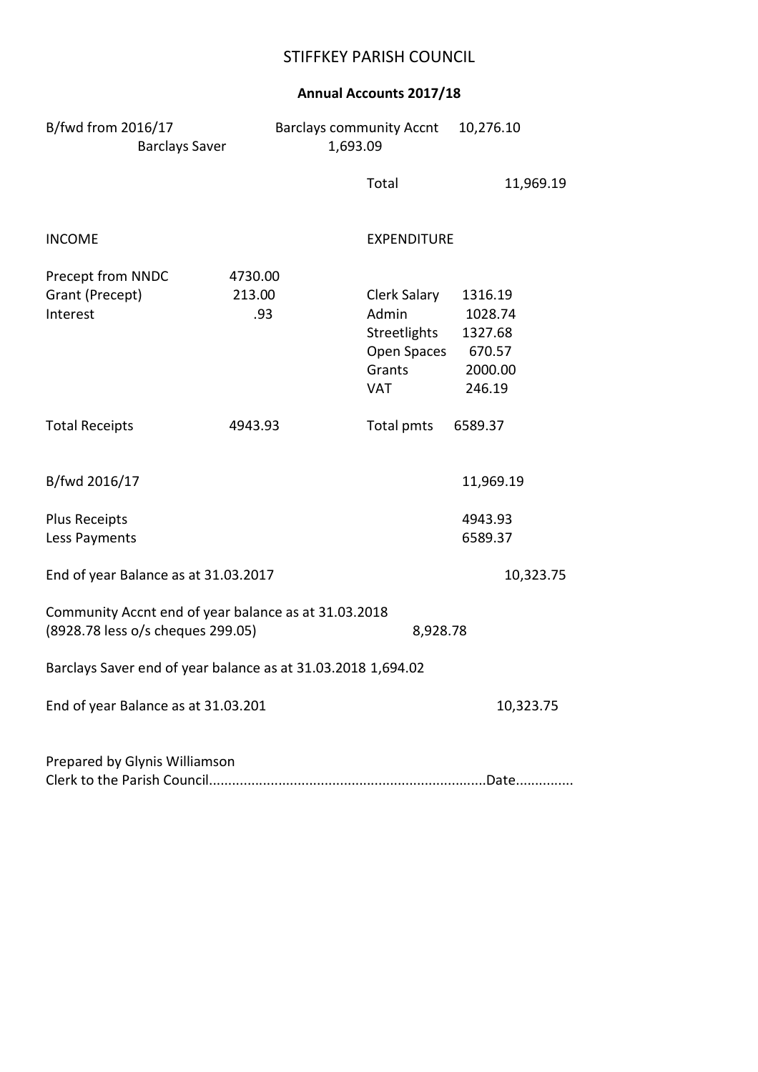# STIFFKEY PARISH COUNCIL

# **Annual Accounts 2017/18**

| B/fwd from 2016/17                                           | <b>Barclays community Accnt</b> | 10,276.10 |
|--------------------------------------------------------------|---------------------------------|-----------|
| <b>Barclays Saver</b>                                        | 1,693.09                        |           |
|                                                              | Total                           | 11,969.19 |
| <b>INCOME</b>                                                | <b>EXPENDITURE</b>              |           |
| Precept from NNDC<br>4730.00                                 |                                 |           |
| Grant (Precept)<br>213.00                                    | Clerk Salary                    | 1316.19   |
| Interest<br>.93                                              | Admin                           | 1028.74   |
|                                                              | Streetlights                    | 1327.68   |
|                                                              | Open Spaces                     | 670.57    |
|                                                              | Grants                          | 2000.00   |
|                                                              | <b>VAT</b>                      | 246.19    |
| <b>Total Receipts</b><br>4943.93                             | Total pmts                      | 6589.37   |
| B/fwd 2016/17                                                |                                 | 11,969.19 |
| <b>Plus Receipts</b>                                         |                                 | 4943.93   |
| Less Payments                                                |                                 | 6589.37   |
| End of year Balance as at 31.03.2017                         |                                 | 10,323.75 |
| Community Accnt end of year balance as at 31.03.2018         |                                 |           |
| (8928.78 less o/s cheques 299.05)                            | 8,928.78                        |           |
| Barclays Saver end of year balance as at 31.03.2018 1,694.02 |                                 |           |
| End of year Balance as at 31.03.201                          |                                 | 10,323.75 |
| Prepared by Glynis Williamson                                |                                 |           |
|                                                              |                                 |           |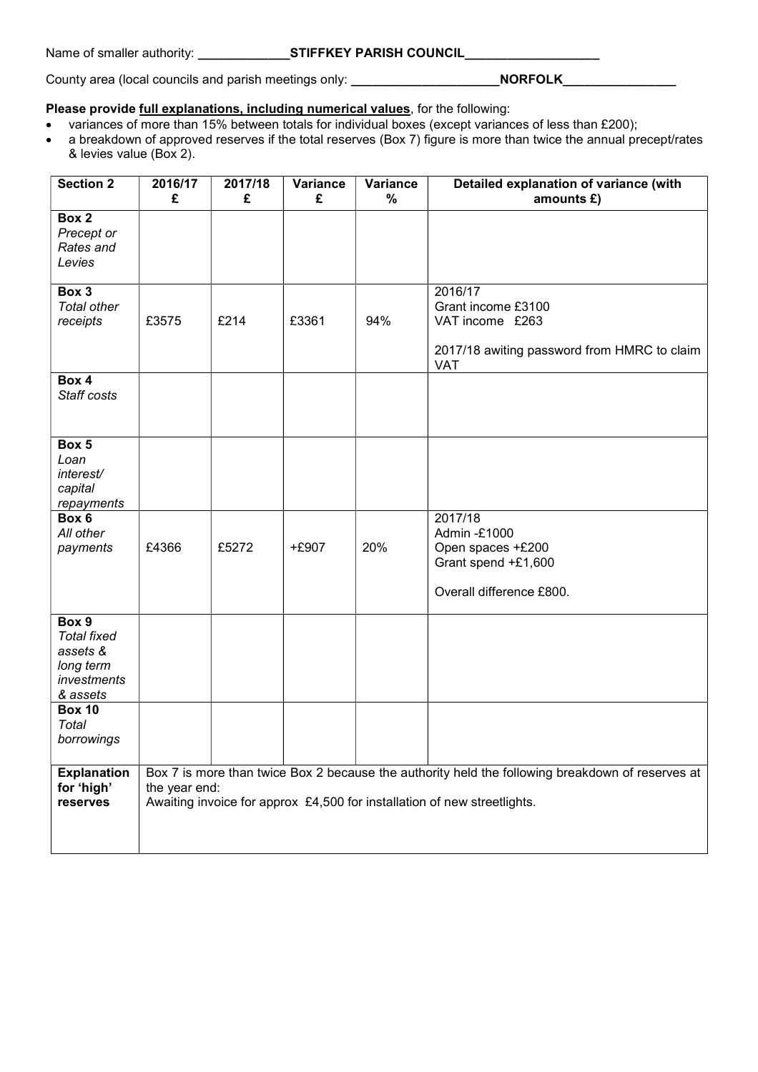#### Name of smaller authority: **We are STIFFKEY PARISH COUNCIL**

County area (local councils and parish meetings only: **\_\_\_\_\_\_\_\_\_\_\_\_\_\_\_\_\_\_\_\_\_NORFOLK\_\_\_\_\_\_\_\_\_\_\_\_\_\_\_** 

#### **Please provide full explanations, including numerical values**, for the following:

- variances of more than 15% between totals for individual boxes (except variances of less than £200);
- a breakdown of approved reserves if the total reserves (Box 7) figure is more than twice the annual precept/rates & levies value (Box 2).

| <b>Section 2</b>                                                                | 2016/17<br>£  | 2017/18<br>£ | Variance<br>£ | Variance<br>$\%$ | Detailed explanation of variance (with<br>amounts £)                                                                                                                         |
|---------------------------------------------------------------------------------|---------------|--------------|---------------|------------------|------------------------------------------------------------------------------------------------------------------------------------------------------------------------------|
| Box 2<br>Precept or<br>Rates and<br>Levies                                      |               |              |               |                  |                                                                                                                                                                              |
| Box 3<br><b>Total other</b><br>receipts                                         | £3575         | £214         | £3361         | 94%              | 2016/17<br>Grant income £3100<br>VAT income £263<br>2017/18 awiting password from HMRC to claim<br><b>VAT</b>                                                                |
| Box 4<br>Staff costs                                                            |               |              |               |                  |                                                                                                                                                                              |
| Box 5<br>Loan<br>interest/<br>capital<br>repayments                             |               |              |               |                  |                                                                                                                                                                              |
| Box 6<br>All other<br>payments                                                  | £4366         | £5272        | +£907         | 20%              | 2017/18<br>Admin -£1000<br>Open spaces +£200<br>Grant spend +£1,600<br>Overall difference £800.                                                                              |
| Box 9<br><b>Total fixed</b><br>assets &<br>long term<br>investments<br>& assets |               |              |               |                  |                                                                                                                                                                              |
| <b>Box 10</b><br>Total<br>borrowings                                            |               |              |               |                  |                                                                                                                                                                              |
| <b>Explanation</b><br>for 'high'<br>reserves                                    | the year end: |              |               |                  | Box 7 is more than twice Box 2 because the authority held the following breakdown of reserves at<br>Awaiting invoice for approx £4,500 for installation of new streetlights. |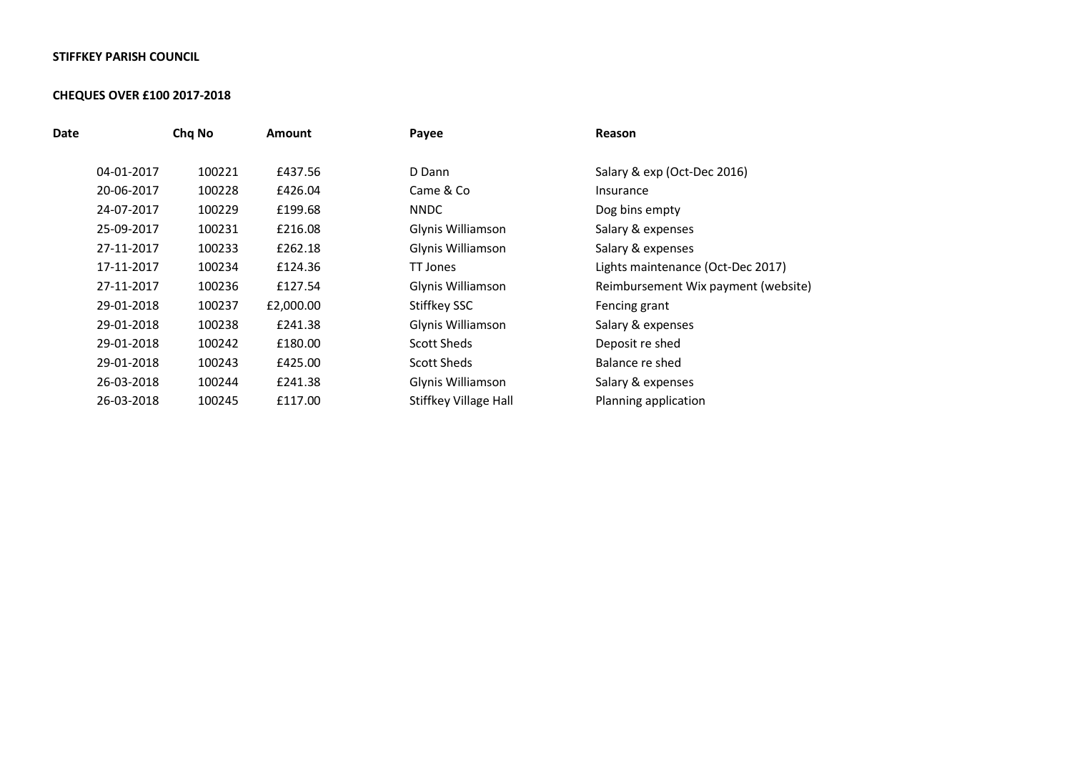#### **STIFFKEY PARISH COUNCIL**

#### **CHEQUES OVER £100 2017-2018**

| Chq No | <b>Amount</b> | Payee                 | Reason                              |
|--------|---------------|-----------------------|-------------------------------------|
| 100221 | £437.56       | D Dann                | Salary & exp (Oct-Dec 2016)         |
| 100228 | £426.04       | Came & Co             | Insurance                           |
| 100229 | £199.68       | <b>NNDC</b>           | Dog bins empty                      |
| 100231 | £216.08       | Glynis Williamson     | Salary & expenses                   |
| 100233 | £262.18       | Glynis Williamson     | Salary & expenses                   |
| 100234 | £124.36       | TT Jones              | Lights maintenance (Oct-Dec 2017)   |
| 100236 | £127.54       | Glynis Williamson     | Reimbursement Wix payment (website) |
| 100237 | £2,000.00     | Stiffkey SSC          | Fencing grant                       |
| 100238 | £241.38       | Glynis Williamson     | Salary & expenses                   |
| 100242 | £180.00       | Scott Sheds           | Deposit re shed                     |
| 100243 | £425.00       | <b>Scott Sheds</b>    | Balance re shed                     |
| 100244 | £241.38       | Glynis Williamson     | Salary & expenses                   |
| 100245 | £117.00       | Stiffkey Village Hall | Planning application                |
|        |               |                       |                                     |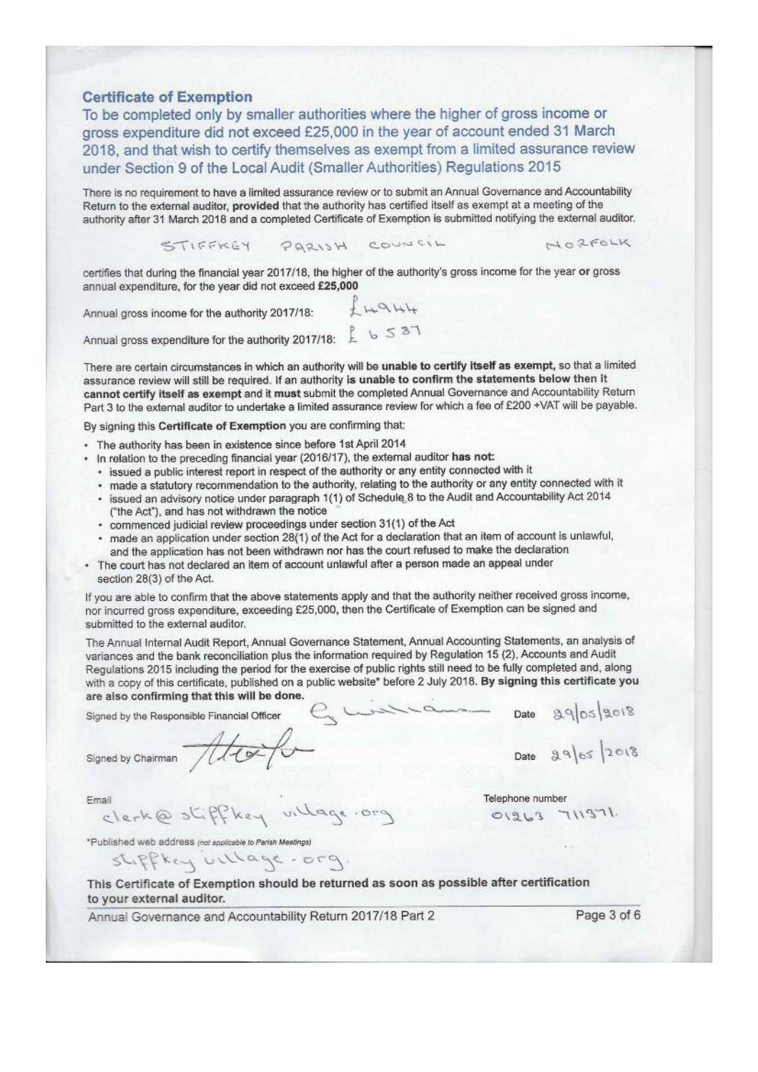#### **Certificate of Exemption**

To be completed only by smaller authorities where the higher of gross income or gross expenditure did not exceed £25,000 in the year of account ended 31 March 2018, and that wish to certify themselves as exempt from a limited assurance review under Section 9 of the Local Audit (Smaller Authorities) Regulations 2015

There is no requirement to have a limited assurance review or to submit an Annual Governance and Accountability Return to the external auditor, provided that the authority has certified itself as exempt at a meeting of the authority after 31 March 2018 and a completed Certificate of Exemption is submitted notifying the external auditor.

STIFFKEY PARISH COUNCIL

NORFOLK

certifies that during the financial year 2017/18, the higher of the authority's gross income for the year or gross annual expenditure, for the year did not exceed £25,000

Annual gross income for the authority 2017/18:

 $+4944$ 

Annual gross expenditure for the authority 2017/18:  $\frac{1}{4}$  b 5 37

There are certain circumstances in which an authority will be unable to certify itself as exempt, so that a limited assurance review will still be required. If an authority is unable to confirm the statements below then it cannot certify itself as exempt and it must submit the completed Annual Governance and Accountability Return Part 3 to the external auditor to undertake a limited assurance review for which a fee of £200 +VAT will be payable.

By signing this Certificate of Exemption you are confirming that:

- · The authority has been in existence since before 1st April 2014
- . In relation to the preceding financial year (2016/17), the external auditor has not:
	- · issued a public interest report in respect of the authority or any entity connected with it
	- · made a statutory recommendation to the authority, relating to the authority or any entity connected with it
	- · issued an advisory notice under paragraph 1(1) of Schedule 8 to the Audit and Accountability Act 2014 ("the Act"), and has not withdrawn the notice
	- · commenced judicial review proceedings under section 31(1) of the Act
	- made an application under section 28(1) of the Act for a declaration that an item of account is unlawful, and the application has not been withdrawn nor has the court refused to make the declaration
- . The court has not declared an item of account unlawful after a person made an appeal under section 28(3) of the Act.

If you are able to confirm that the above statements apply and that the authority neither received gross income, nor incurred gross expenditure, exceeding £25,000, then the Certificate of Exemption can be signed and submitted to the external auditor.

The Annual Internal Audit Report, Annual Governance Statement, Annual Accounting Statements, an analysis of variances and the bank reconciliation plus the information required by Regulation 15 (2), Accounts and Audit Regulations 2015 including the period for the exercise of public rights still need to be fully completed and, along with a copy of this certificate, published on a public website\* before 2 July 2018. By signing this certificate you are also confirming that this will be done.

Signed by the Responsible Financial Officer

Signed by Chairman ///

clerk@stiffkey village.org

\*Published web address (not applicable to Parish Meetings)

stiffkey billage.org.

This Certificate of Exemption should be returned as soon as possible after certification to your external auditor.

Annual Governance and Accountability Return 2017/18 Part 2

Page 3 of 6

Date  $99059018$ Date  $2965$  2018

Telephone number

 $01263$  711371.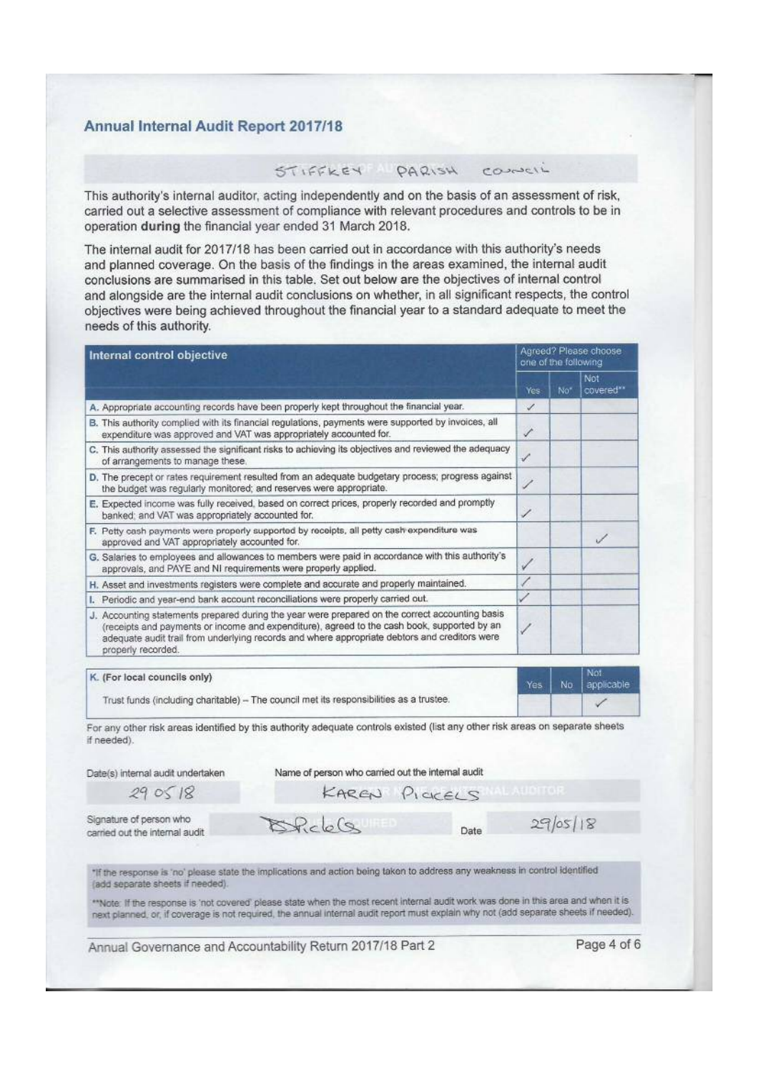#### Annual Internal Audit Report 2017/18

### STIFFKEY PARISH CONNelL

This authority's internal auditor, acting independently and on the basis of an assessment of risk, carried out a selective assessment of compliance with relevant procedures and controls to be in operation during the financial year ended 31 March 2018.

The internal audit for 2017/18 has been carried out in accordance with this authority's needs and planned coverage. On the basis of the findings in the areas examined, the internal audit conclusions are summarised in this table. Set out below are the objectives of internal control and alongside are the internal audit conclusions on whether, in all significant respects, the control objectives were being achieved throughout the financial year to a standard adequate to meet the needs of this authority.

| Internal control objective                                                                                                                                                                                                                                                                                            |      | Agreed? Please choose<br>one of the following |                   |  |  |
|-----------------------------------------------------------------------------------------------------------------------------------------------------------------------------------------------------------------------------------------------------------------------------------------------------------------------|------|-----------------------------------------------|-------------------|--|--|
|                                                                                                                                                                                                                                                                                                                       | Yes. | Not                                           | Not<br>covered**  |  |  |
| A. Appropriate accounting records have been properly kept throughout the financial year.                                                                                                                                                                                                                              | Í    |                                               |                   |  |  |
| B. This authority complied with its financial regulations, payments were supported by invoices, all<br>expenditure was approved and VAT was appropriately accounted for.                                                                                                                                              | v    |                                               |                   |  |  |
| C. This authority assessed the significant risks to achieving its objectives and reviewed the adequacy<br>of arrangements to manage these.                                                                                                                                                                            | ✓    |                                               |                   |  |  |
| D. The precept or rates requirement resulted from an adequate budgetary process; progress against<br>the budget was regularly monitored; and reserves were appropriate.                                                                                                                                               |      |                                               |                   |  |  |
| E. Expected income was fully received, based on correct prices, properly recorded and promptly<br>banked; and VAT was appropriately accounted for.                                                                                                                                                                    | ৴    |                                               |                   |  |  |
| F. Petty cash payments were properly supported by receipts, all petty cash expenditure was<br>approved and VAT appropriately accounted for.                                                                                                                                                                           |      |                                               |                   |  |  |
| G. Salaries to employees and allowances to members were paid in accordance with this authority's<br>approvals, and PAYE and NI requirements were properly applied.                                                                                                                                                    | ✓    |                                               |                   |  |  |
| H. Asset and investments registers were complete and accurate and properly maintained.                                                                                                                                                                                                                                |      |                                               |                   |  |  |
| I. Periodic and year-end bank account reconciliations were properly carried out.                                                                                                                                                                                                                                      |      |                                               |                   |  |  |
| J. Accounting statements prepared during the year were prepared on the correct accounting basis<br>(receipts and payments or income and expenditure), agreed to the cash book, supported by an<br>adequate audit trail from underlying records and where appropriate debtors and creditors were<br>properly recorded. |      |                                               |                   |  |  |
| K. (For local councils only)                                                                                                                                                                                                                                                                                          | Yes  | No.                                           | Not<br>applicable |  |  |
| Trust funds (including charitable) - The council met its responsibilities as a trustee.                                                                                                                                                                                                                               |      |                                               |                   |  |  |

For any other risk areas identified by this authority adequate controls existed (list any other risk areas on separate sheets if needed).

Date(s) internal audit undertaken

Name of person who carried out the internal audit

 $290518$ 

KAREN PICKELS

Signature of person who carried out the internal audit

"If the response is 'no' please state the implications and action being taken to address any weakness in control identified (add separate sheets if needed).

 $20 - 6$ 

"Note: If the response is 'not covered' please state when the most recent internal audit work was done in this area and when it is next planned, or, if coverage is not required, the annual internal audit report must explain why not (add separate sheets if needed).

Annual Governance and Accountability Return 2017/18 Part 2

Page 4 of 6

 $29/05/18$ 

Date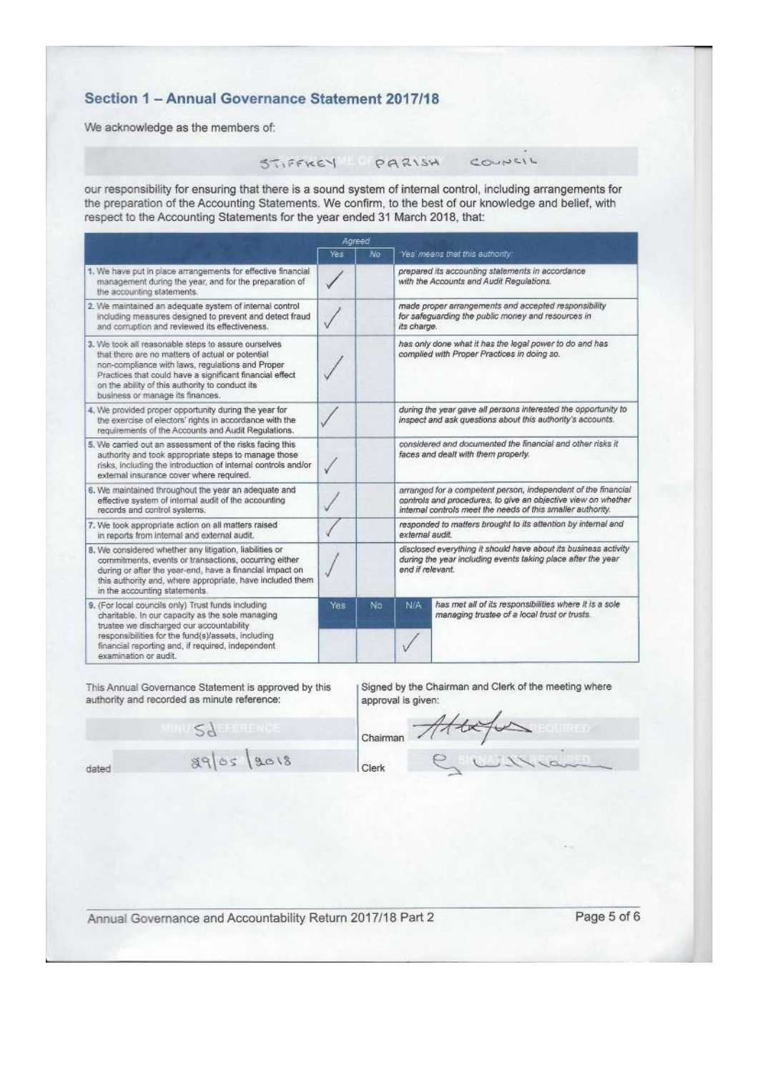## Section 1 - Annual Governance Statement 2017/18

We acknowledge as the members of:

# STIFFKEY PARISH

COUNCIL

our responsibility for ensuring that there is a sound system of internal control, including arrangements for the preparation of the Accounting Statements. We confirm, to the best of our knowledge and belief, with respect to the Accounting Statements for the year ended 31 March 2018, that:

|                                                                                                                                                                                                                                                                                                                |      | Agreed |                                                                                                                                                                                               |                                                                                                                              |  |
|----------------------------------------------------------------------------------------------------------------------------------------------------------------------------------------------------------------------------------------------------------------------------------------------------------------|------|--------|-----------------------------------------------------------------------------------------------------------------------------------------------------------------------------------------------|------------------------------------------------------------------------------------------------------------------------------|--|
|                                                                                                                                                                                                                                                                                                                | Yes: | No     |                                                                                                                                                                                               | Yes means that this authority.                                                                                               |  |
| 1. We have put in place arrangements for effective financial<br>management during the year, and for the preparation of<br>the accounting statements.                                                                                                                                                           |      |        |                                                                                                                                                                                               | prepared its accounting statements in accordance<br>with the Accounts and Audit Regulations.                                 |  |
| 2. We maintained an adequate system of internal control<br>including measures designed to prevent and detect fraud<br>and comuption and reviewed its effectiveness.                                                                                                                                            |      |        | its charge.                                                                                                                                                                                   | made proper arrangements and accepted responsibility<br>for safeguarding the public money and resources in                   |  |
| 3. We took all reasonable steps to assure ourselves<br>that there are no matters of actual or potential<br>non-compliance with laws, regulations and Proper<br>Practices that could have a significant financial effect<br>on the ability of this authority to conduct its<br>business or manage its finances. |      |        |                                                                                                                                                                                               | has only done what it has the legal power to do and has<br>complied with Proper Practices in doing so.                       |  |
| 4. We provided proper opportunity during the year for<br>the exercise of electors' rights in accordance with the<br>requirements of the Accounts and Audit Regulations.                                                                                                                                        |      |        |                                                                                                                                                                                               | during the year gave all persons interested the opportunity to<br>inspect and ask questions about this authority's accounts. |  |
| 5. We carried out an assessment of the risks facing this<br>authority and took appropriate steps to manage those<br>risks, including the introduction of internal controls and/or<br>external insurance cover where required.                                                                                  |      |        | considered and documented the financial and other risks it<br>faces and dealt with them properly.                                                                                             |                                                                                                                              |  |
| 6. We maintained throughout the year an adequate and<br>effective system of internal audit of the accounting<br>records and control systems.                                                                                                                                                                   |      |        | arranged for a competent person, independent of the financial<br>controls and procedures, to give an objective view on whether<br>internal controls meet the needs of this smaller authority. |                                                                                                                              |  |
| 7. We took appropriate action on all matters raised<br>in reports from internal and external audit.                                                                                                                                                                                                            |      |        | responded to matters brought to its attention by internal and<br>axternal audit.                                                                                                              |                                                                                                                              |  |
| 8. We considered whether any litigation, liabilities or<br>commitments, events or transactions, occurring either<br>during or after the year-end, have a financial impact on<br>this authority and, where appropriate, have included them<br>in the accounting statements.                                     |      |        | disclosed everything it should have about its business activity<br>during the year including events taking place after the year<br>end if relevant.                                           |                                                                                                                              |  |
| 9. (For local councils only) Trust funds including<br>charitable. In our capacity as the sole managing<br>trustee we discharged our accountability<br>responsibilities for the fund(s)/assets, including<br>financial reporting and, if required, independent<br>examination or audit.                         | Yes  | No.    | N/A                                                                                                                                                                                           | has met all of its responsibilities where it is a sole<br>managing trustee of a local trust or trusts.                       |  |

This Annual Governance Statement is approved by this authority and recorded as minute reference:

Signed by the Chairman and Clerk of the meeting where approval is given:

**29 ELEVEND**  $8965$   $8018$ dated

 $\frac{1}{\text{Chairman}}$  Att Clerk

Annual Governance and Accountability Return 2017/18 Part 2

Page 5 of 6